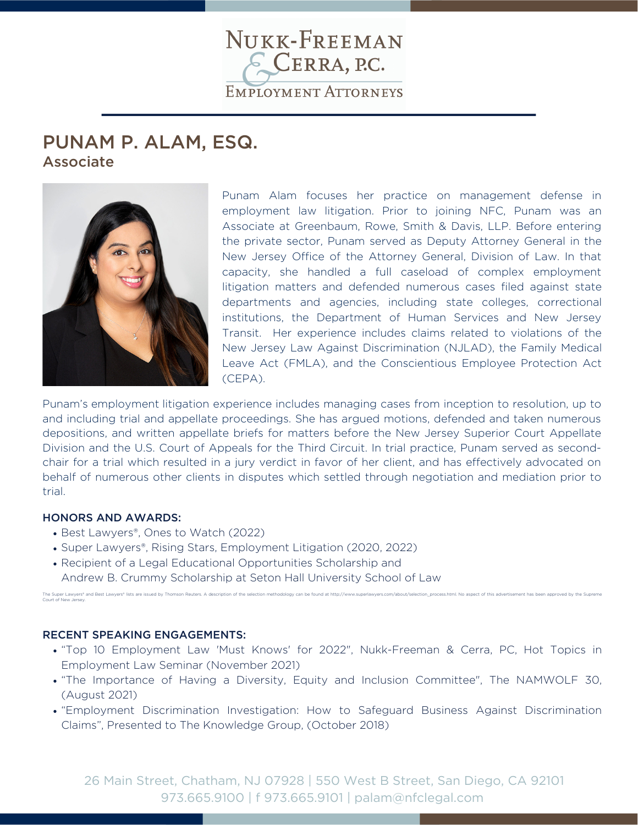

# PUNAM P. ALAM, ESQ. Associate



Punam Alam focuses her practice on management defense in employment law litigation. Prior to joining NFC, Punam was an Associate at Greenbaum, Rowe, Smith & Davis, LLP. Before entering the private sector, Punam served as Deputy Attorney General in the New Jersey Office of the Attorney General, Division of Law. In that capacity, she handled a full caseload of complex employment litigation matters and defended numerous cases filed against state departments and agencies, including state colleges, correctional institutions, the Department of Human Services and New Jersey Transit. Her experience includes claims related to violations of the New Jersey Law Against Discrimination (NJLAD), the Family Medical Leave Act (FMLA), and the Conscientious Employee Protection Act (CEPA).

Punam's employment litigation experience includes managing cases from inception to resolution, up to and including trial and appellate proceedings. She has argued motions, defended and taken numerous depositions, and written appellate briefs for matters before the New Jersey Superior Court Appellate Division and the U.S. Court of Appeals for the Third Circuit. In trial practice, Punam served as secondchair for a trial which resulted in a jury verdict in favor of her client, and has effectively advocated on behalf of numerous other clients in disputes which settled through negotiation and mediation prior to trial.

#### HONORS AND AWARDS:

Court of New Jersey.

- Best Lawyers®, Ones to Watch (2022)
- Super Lawyers®, Rising Stars, Employment Litigation (2020, 2022)
- Recipient of a Legal Educational Opportunities Scholarship and
- Andrew B. Crummy Scholarship at Seton Hall University School of Law

#### RECENT SPEAKING ENGAGEMENTS:

"Top 10 Employment Law 'Must Knows' for 2022", Nukk-Freeman & Cerra, PC, Hot Topics in Employment Law Seminar (November 2021)

The Super Lawyers\* and Best Lawyers\* lists are issued by Thomson Reuters. A description of the selection methodology can be found at http://www.superlawyers.com/about/selection\_process.html. No aspect of this advertisement

- "The Importance of Having a Diversity, Equity and Inclusion Committee", The NAMWOLF 30, (August 2021)
- "Employment Discrimination Investigation: How to Safeguard Business Against Discrimination Claims", Presented to The Knowledge Group, (October 2018)

26 Main Street, Chatham, NJ 07928 | 550 West B Street, San Diego, CA 92101 973.665.9100 | f 973.665.9101 | palam@nfclegal.com